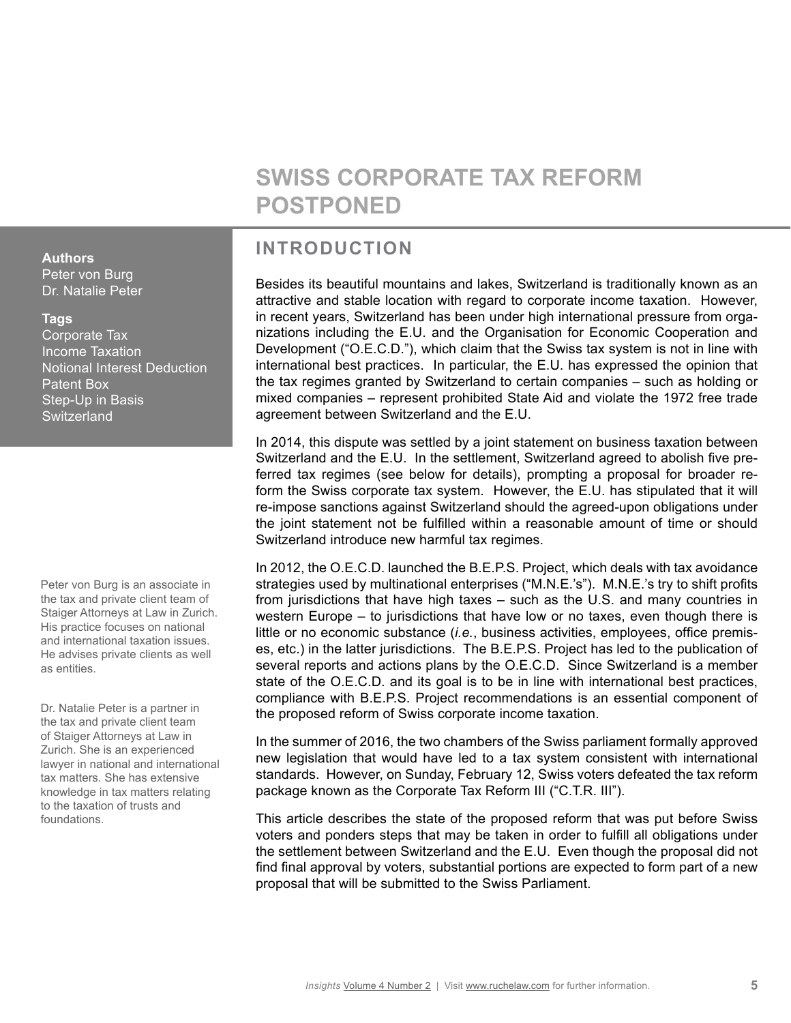# **SWISS CORPORATE TAX REFORM POSTPONED**

# **INTRODUCTION**

Besides its beautiful mountains and lakes, Switzerland is traditionally known as an attractive and stable location with regard to corporate income taxation. However, in recent years, Switzerland has been under high international pressure from organizations including the E.U. and the Organisation for Economic Cooperation and Development ("O.E.C.D."), which claim that the Swiss tax system is not in line with international best practices. In particular, the E.U. has expressed the opinion that the tax regimes granted by Switzerland to certain companies – such as holding or mixed companies – represent prohibited State Aid and violate the 1972 free trade agreement between Switzerland and the E.U.

In 2014, this dispute was settled by a joint statement on business taxation between Switzerland and the E.U. In the settlement, Switzerland agreed to abolish five preferred tax regimes (see below for details), prompting a proposal for broader reform the Swiss corporate tax system. However, the E.U. has stipulated that it will re-impose sanctions against Switzerland should the agreed-upon obligations under the joint statement not be fulfilled within a reasonable amount of time or should Switzerland introduce new harmful tax regimes.

In 2012, the O.E.C.D. launched the B.E.P.S. Project, which deals with tax avoidance strategies used by multinational enterprises ("M.N.E.'s"). M.N.E.'s try to shift profits from jurisdictions that have high taxes – such as the U.S. and many countries in western Europe – to jurisdictions that have low or no taxes, even though there is little or no economic substance (*i.e.*, business activities, employees, office premises, etc.) in the latter jurisdictions. The B.E.P.S. Project has led to the publication of several reports and actions plans by the O.E.C.D. Since Switzerland is a member state of the O.E.C.D. and its goal is to be in line with international best practices, compliance with B.E.P.S. Project recommendations is an essential component of the proposed reform of Swiss corporate income taxation.

In the summer of 2016, the two chambers of the Swiss parliament formally approved new legislation that would have led to a tax system consistent with international standards. However, on Sunday, February 12, Swiss voters defeated the tax reform package known as the Corporate Tax Reform III ("C.T.R. III").

This article describes the state of the proposed reform that was put before Swiss voters and ponders steps that may be taken in order to fulfill all obligations under the settlement between Switzerland and the E.U. Even though the proposal did not find final approval by voters, substantial portions are expected to form part of a new proposal that will be submitted to the Swiss Parliament.

### **Authors**

Peter von Burg Dr. Natalie Peter

#### **Tags**

Corporate Tax Income Taxation Notional Interest Deduction Patent Box Step-Up in Basis **Switzerland** 

Peter von Burg is an associate in the tax and private client team of Staiger Attorneys at Law in Zurich. His practice focuses on national and international taxation issues. He advises private clients as well as entities.

Dr. Natalie Peter is a partner in the tax and private client team of Staiger Attorneys at Law in Zurich. She is an experienced lawyer in national and international tax matters. She has extensive knowledge in tax matters relating to the taxation of trusts and foundations.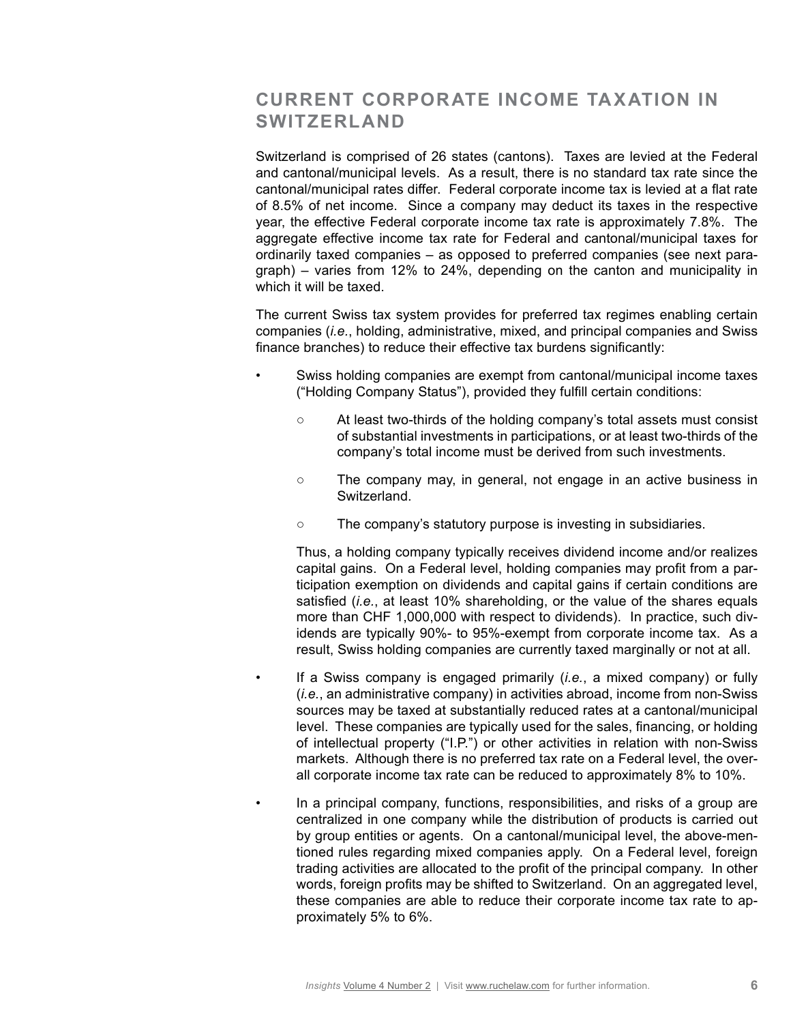# **CURRENT CORPORATE INCOME TAXATION IN SWITZERLAND**

Switzerland is comprised of 26 states (cantons). Taxes are levied at the Federal and cantonal/municipal levels. As a result, there is no standard tax rate since the cantonal/municipal rates differ. Federal corporate income tax is levied at a flat rate of 8.5% of net income. Since a company may deduct its taxes in the respective year, the effective Federal corporate income tax rate is approximately 7.8%. The aggregate effective income tax rate for Federal and cantonal/municipal taxes for ordinarily taxed companies – as opposed to preferred companies (see next paragraph) – varies from 12% to 24%, depending on the canton and municipality in which it will be taxed.

The current Swiss tax system provides for preferred tax regimes enabling certain companies (*i.e.*, holding, administrative, mixed, and principal companies and Swiss finance branches) to reduce their effective tax burdens significantly:

- Swiss holding companies are exempt from cantonal/municipal income taxes ("Holding Company Status"), provided they fulfill certain conditions:
	- At least two-thirds of the holding company's total assets must consist of substantial investments in participations, or at least two-thirds of the company's total income must be derived from such investments.
	- The company may, in general, not engage in an active business in Switzerland.
	- The company's statutory purpose is investing in subsidiaries.

Thus, a holding company typically receives dividend income and/or realizes capital gains. On a Federal level, holding companies may profit from a participation exemption on dividends and capital gains if certain conditions are satisfied (*i.e.*, at least 10% shareholding, or the value of the shares equals more than CHF 1,000,000 with respect to dividends). In practice, such dividends are typically 90%- to 95%-exempt from corporate income tax. As a result, Swiss holding companies are currently taxed marginally or not at all.

- If a Swiss company is engaged primarily (*i.e.*, a mixed company) or fully (*i.e.*, an administrative company) in activities abroad, income from non-Swiss sources may be taxed at substantially reduced rates at a cantonal/municipal level. These companies are typically used for the sales, financing, or holding of intellectual property ("I.P.") or other activities in relation with non-Swiss markets. Although there is no preferred tax rate on a Federal level, the overall corporate income tax rate can be reduced to approximately 8% to 10%.
	- In a principal company, functions, responsibilities, and risks of a group are centralized in one company while the distribution of products is carried out by group entities or agents. On a cantonal/municipal level, the above-mentioned rules regarding mixed companies apply. On a Federal level, foreign trading activities are allocated to the profit of the principal company. In other words, foreign profits may be shifted to Switzerland. On an aggregated level, these companies are able to reduce their corporate income tax rate to approximately 5% to 6%.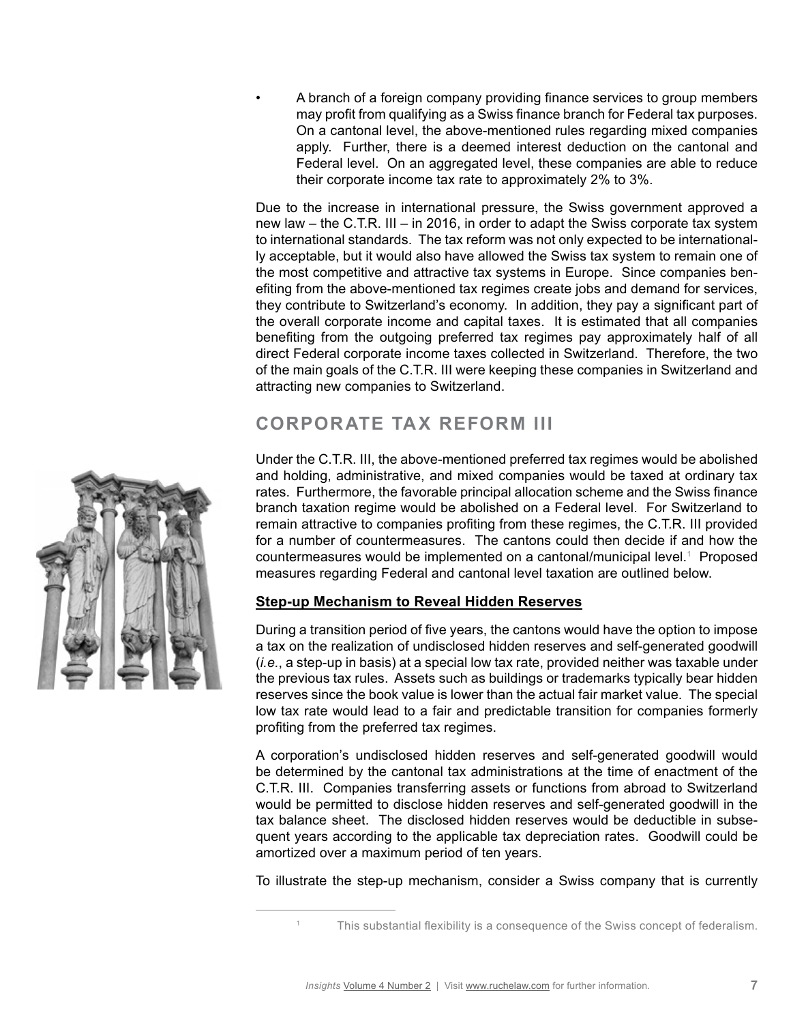• A branch of a foreign company providing finance services to group members may profit from qualifying as a Swiss finance branch for Federal tax purposes. On a cantonal level, the above-mentioned rules regarding mixed companies apply. Further, there is a deemed interest deduction on the cantonal and Federal level. On an aggregated level, these companies are able to reduce their corporate income tax rate to approximately 2% to 3%.

Due to the increase in international pressure, the Swiss government approved a new law – the C.T.R. III – in 2016, in order to adapt the Swiss corporate tax system to international standards. The tax reform was not only expected to be internationally acceptable, but it would also have allowed the Swiss tax system to remain one of the most competitive and attractive tax systems in Europe. Since companies benefiting from the above-mentioned tax regimes create jobs and demand for services, they contribute to Switzerland's economy. In addition, they pay a significant part of the overall corporate income and capital taxes. It is estimated that all companies benefiting from the outgoing preferred tax regimes pay approximately half of all direct Federal corporate income taxes collected in Switzerland. Therefore, the two of the main goals of the C.T.R. III were keeping these companies in Switzerland and attracting new companies to Switzerland.

## **CORPORATE TAX REFORM III**

Under the C.T.R. III, the above-mentioned preferred tax regimes would be abolished and holding, administrative, and mixed companies would be taxed at ordinary tax rates. Furthermore, the favorable principal allocation scheme and the Swiss finance branch taxation regime would be abolished on a Federal level. For Switzerland to remain attractive to companies profiting from these regimes, the C.T.R. III provided for a number of countermeasures. The cantons could then decide if and how the countermeasures would be implemented on a cantonal/municipal level.<sup>1</sup> Proposed measures regarding Federal and cantonal level taxation are outlined below.

### **Step-up Mechanism to Reveal Hidden Reserves**

During a transition period of five years, the cantons would have the option to impose a tax on the realization of undisclosed hidden reserves and self-generated goodwill (*i.e.*, a step-up in basis) at a special low tax rate, provided neither was taxable under the previous tax rules. Assets such as buildings or trademarks typically bear hidden reserves since the book value is lower than the actual fair market value. The special low tax rate would lead to a fair and predictable transition for companies formerly profiting from the preferred tax regimes.

A corporation's undisclosed hidden reserves and self-generated goodwill would be determined by the cantonal tax administrations at the time of enactment of the C.T.R. III. Companies transferring assets or functions from abroad to Switzerland would be permitted to disclose hidden reserves and self-generated goodwill in the tax balance sheet. The disclosed hidden reserves would be deductible in subsequent years according to the applicable tax depreciation rates. Goodwill could be amortized over a maximum period of ten years.

To illustrate the step-up mechanism, consider a Swiss company that is currently



<sup>1</sup> This substantial flexibility is a consequence of the Swiss concept of federalism.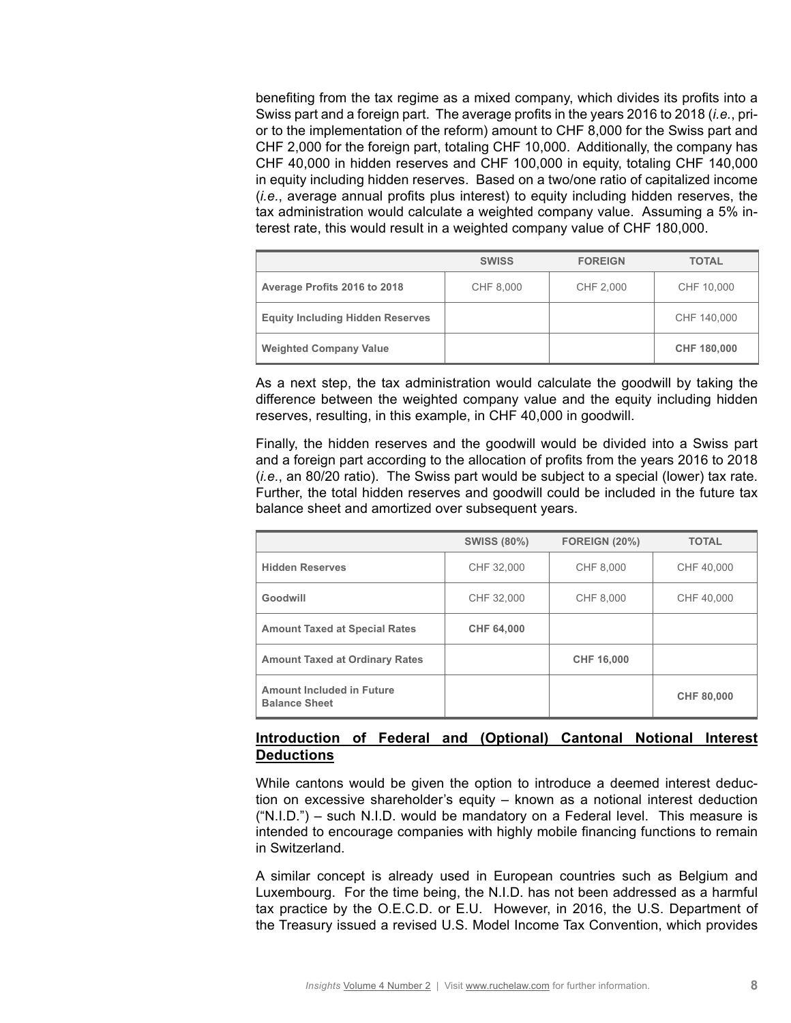benefiting from the tax regime as a mixed company, which divides its profits into a Swiss part and a foreign part. The average profits in the years 2016 to 2018 (*i.e.*, prior to the implementation of the reform) amount to CHF 8,000 for the Swiss part and CHF 2,000 for the foreign part, totaling CHF 10,000. Additionally, the company has CHF 40,000 in hidden reserves and CHF 100,000 in equity, totaling CHF 140,000 in equity including hidden reserves. Based on a two/one ratio of capitalized income (*i.e.*, average annual profits plus interest) to equity including hidden reserves, the tax administration would calculate a weighted company value. Assuming a 5% interest rate, this would result in a weighted company value of CHF 180,000.

|                                         | <b>SWISS</b> | <b>FOREIGN</b> | <b>TOTAL</b> |
|-----------------------------------------|--------------|----------------|--------------|
| Average Profits 2016 to 2018            | CHF 8,000    | CHF 2,000      | CHF 10,000   |
| <b>Equity Including Hidden Reserves</b> |              |                | CHF 140,000  |
| <b>Weighted Company Value</b>           |              |                | CHF 180,000  |

As a next step, the tax administration would calculate the goodwill by taking the difference between the weighted company value and the equity including hidden reserves, resulting, in this example, in CHF 40,000 in goodwill.

Finally, the hidden reserves and the goodwill would be divided into a Swiss part and a foreign part according to the allocation of profits from the years 2016 to 2018 (*i.e.*, an 80/20 ratio). The Swiss part would be subject to a special (lower) tax rate. Further, the total hidden reserves and goodwill could be included in the future tax balance sheet and amortized over subsequent years.

|                                                          | <b>SWISS (80%)</b> | <b>FOREIGN (20%)</b> | <b>TOTAL</b> |
|----------------------------------------------------------|--------------------|----------------------|--------------|
| <b>Hidden Reserves</b>                                   | CHF 32,000         | CHF 8.000            | CHF 40,000   |
| Goodwill                                                 | CHF 32,000         | CHF 8,000            | CHF 40,000   |
| <b>Amount Taxed at Special Rates</b>                     | <b>CHF 64,000</b>  |                      |              |
| <b>Amount Taxed at Ordinary Rates</b>                    |                    | <b>CHF 16,000</b>    |              |
| <b>Amount Included in Future</b><br><b>Balance Sheet</b> |                    |                      | CHF 80,000   |

### **Introduction of Federal and (Optional) Cantonal Notional Interest Deductions**

While cantons would be given the option to introduce a deemed interest deduction on excessive shareholder's equity – known as a notional interest deduction ("N.I.D.") – such N.I.D. would be mandatory on a Federal level. This measure is intended to encourage companies with highly mobile financing functions to remain in Switzerland.

A similar concept is already used in European countries such as Belgium and Luxembourg. For the time being, the N.I.D. has not been addressed as a harmful tax practice by the O.E.C.D. or E.U. However, in 2016, the U.S. Department of the Treasury issued a revised U.S. Model Income Tax Convention, which provides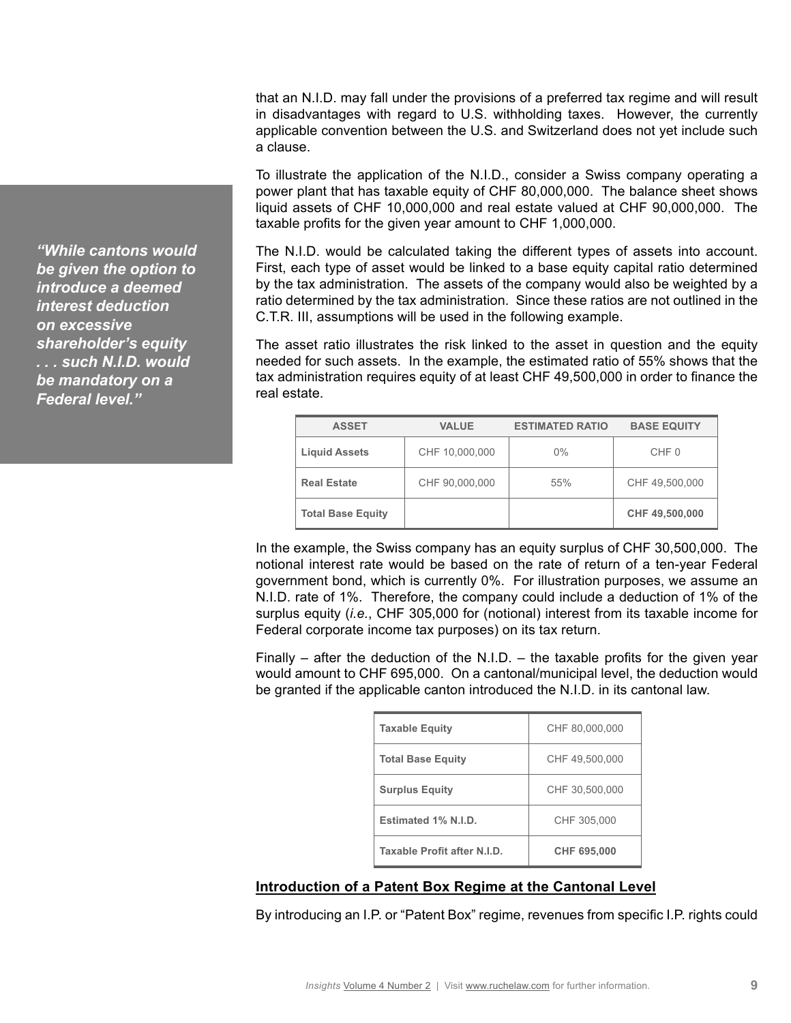that an N.I.D. may fall under the provisions of a preferred tax regime and will result in disadvantages with regard to U.S. withholding taxes. However, the currently applicable convention between the U.S. and Switzerland does not yet include such a clause.

To illustrate the application of the N.I.D., consider a Swiss company operating a power plant that has taxable equity of CHF 80,000,000. The balance sheet shows liquid assets of CHF 10,000,000 and real estate valued at CHF 90,000,000. The taxable profits for the given year amount to CHF 1,000,000.

The N.I.D. would be calculated taking the different types of assets into account. First, each type of asset would be linked to a base equity capital ratio determined by the tax administration. The assets of the company would also be weighted by a ratio determined by the tax administration. Since these ratios are not outlined in the C.T.R. III, assumptions will be used in the following example.

The asset ratio illustrates the risk linked to the asset in question and the equity needed for such assets. In the example, the estimated ratio of 55% shows that the tax administration requires equity of at least CHF 49,500,000 in order to finance the real estate.

| <b>ASSET</b>             | <b>VALUE</b>   | <b>ESTIMATED RATIO</b> | <b>BASE EQUITY</b> |
|--------------------------|----------------|------------------------|--------------------|
| <b>Liquid Assets</b>     | CHF 10,000,000 | $0\%$                  | CHF 0              |
| <b>Real Estate</b>       | CHF 90,000,000 | 55%                    | CHF 49,500,000     |
| <b>Total Base Equity</b> |                |                        | CHF 49,500,000     |

In the example, the Swiss company has an equity surplus of CHF 30,500,000. The notional interest rate would be based on the rate of return of a ten-year Federal government bond, which is currently 0%. For illustration purposes, we assume an N.I.D. rate of 1%. Therefore, the company could include a deduction of 1% of the surplus equity (*i.e.*, CHF 305,000 for (notional) interest from its taxable income for Federal corporate income tax purposes) on its tax return.

Finally – after the deduction of the N.I.D. – the taxable profits for the given year would amount to CHF 695,000. On a cantonal/municipal level, the deduction would be granted if the applicable canton introduced the N.I.D. in its cantonal law.

| <b>Taxable Equity</b>       | CHF 80,000,000     |  |
|-----------------------------|--------------------|--|
| <b>Total Base Equity</b>    | CHF 49,500,000     |  |
| <b>Surplus Equity</b>       | CHF 30,500,000     |  |
| Estimated 1% N.I.D.         | CHF 305,000        |  |
| Taxable Profit after N.I.D. | <b>CHF 695,000</b> |  |

#### **Introduction of a Patent Box Regime at the Cantonal Level**

By introducing an I.P. or "Patent Box" regime, revenues from specific I.P. rights could

*"While cantons would be given the option to introduce a deemed interest deduction on excessive shareholder's equity . . . such N.I.D. would be mandatory on a Federal level."*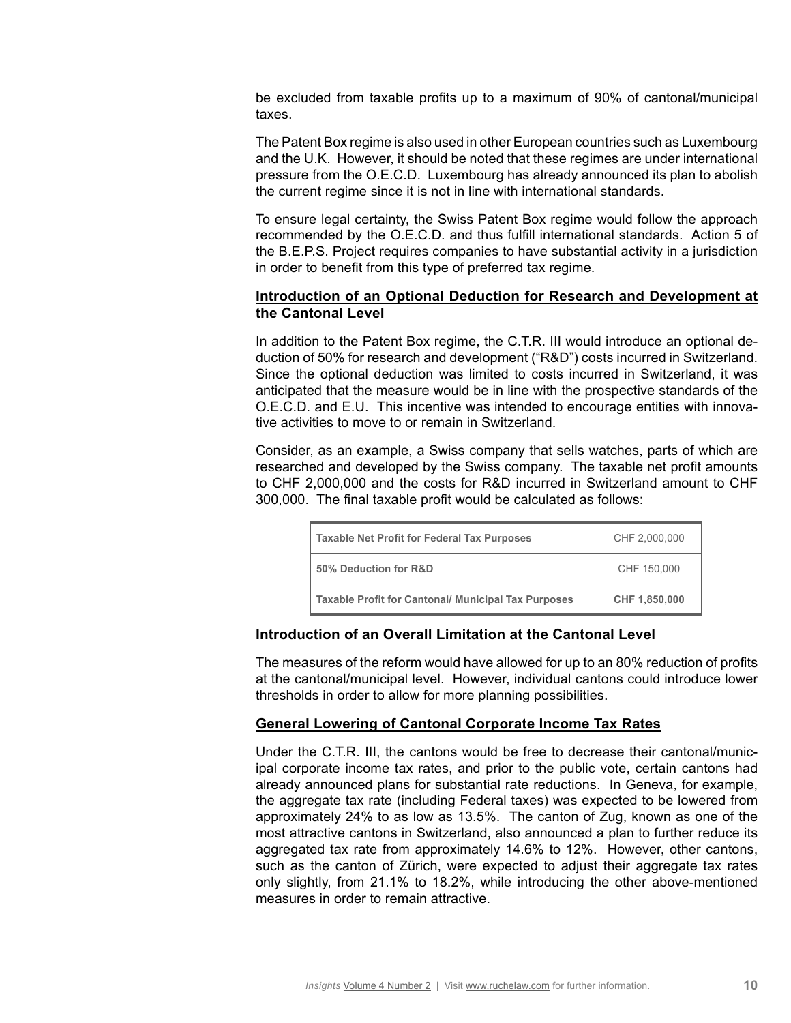be excluded from taxable profits up to a maximum of 90% of cantonal/municipal taxes.

The Patent Box regime is also used in other European countries such as Luxembourg and the U.K. However, it should be noted that these regimes are under international pressure from the O.E.C.D. Luxembourg has already announced its plan to abolish the current regime since it is not in line with international standards.

To ensure legal certainty, the Swiss Patent Box regime would follow the approach recommended by the O.E.C.D. and thus fulfill international standards. Action 5 of the B.E.P.S. Project requires companies to have substantial activity in a jurisdiction in order to benefit from this type of preferred tax regime.

#### **Introduction of an Optional Deduction for Research and Development at the Cantonal Level**

In addition to the Patent Box regime, the C.T.R. III would introduce an optional deduction of 50% for research and development ("R&D") costs incurred in Switzerland. Since the optional deduction was limited to costs incurred in Switzerland, it was anticipated that the measure would be in line with the prospective standards of the O.E.C.D. and E.U. This incentive was intended to encourage entities with innovative activities to move to or remain in Switzerland.

Consider, as an example, a Swiss company that sells watches, parts of which are researched and developed by the Swiss company. The taxable net profit amounts to CHF 2,000,000 and the costs for R&D incurred in Switzerland amount to CHF 300,000. The final taxable profit would be calculated as follows:

| <b>Taxable Net Profit for Federal Tax Purposes</b>         | CHF 2,000,000 |
|------------------------------------------------------------|---------------|
| 50% Deduction for R&D                                      | CHF 150,000   |
| <b>Taxable Profit for Cantonal/ Municipal Tax Purposes</b> | CHF 1,850,000 |

#### **Introduction of an Overall Limitation at the Cantonal Level**

The measures of the reform would have allowed for up to an 80% reduction of profits at the cantonal/municipal level. However, individual cantons could introduce lower thresholds in order to allow for more planning possibilities.

#### **General Lowering of Cantonal Corporate Income Tax Rates**

Under the C.T.R. III, the cantons would be free to decrease their cantonal/municipal corporate income tax rates, and prior to the public vote, certain cantons had already announced plans for substantial rate reductions. In Geneva, for example, the aggregate tax rate (including Federal taxes) was expected to be lowered from approximately 24% to as low as 13.5%. The canton of Zug, known as one of the most attractive cantons in Switzerland, also announced a plan to further reduce its aggregated tax rate from approximately 14.6% to 12%. However, other cantons, such as the canton of Zürich, were expected to adjust their aggregate tax rates only slightly, from 21.1% to 18.2%, while introducing the other above-mentioned measures in order to remain attractive.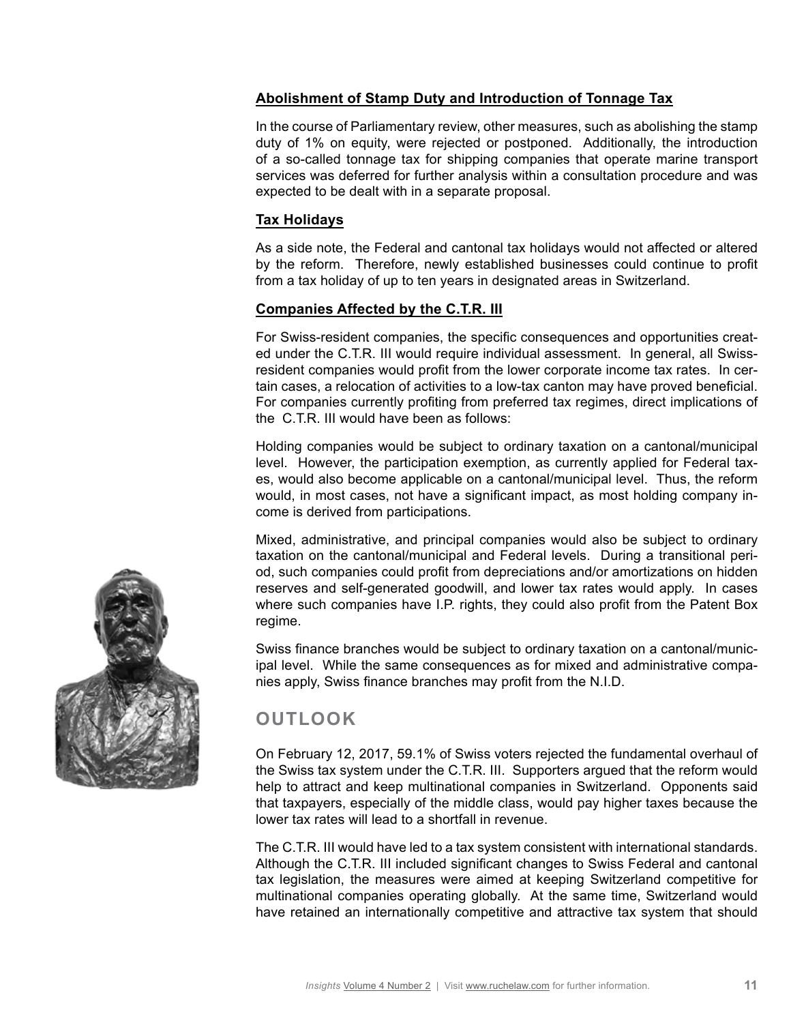### **Abolishment of Stamp Duty and Introduction of Tonnage Tax**

In the course of Parliamentary review, other measures, such as abolishing the stamp duty of 1% on equity, were rejected or postponed. Additionally, the introduction of a so-called tonnage tax for shipping companies that operate marine transport services was deferred for further analysis within a consultation procedure and was expected to be dealt with in a separate proposal.

#### **Tax Holidays**

As a side note, the Federal and cantonal tax holidays would not affected or altered by the reform. Therefore, newly established businesses could continue to profit from a tax holiday of up to ten years in designated areas in Switzerland.

#### **Companies Affected by the C.T.R. III**

For Swiss-resident companies, the specific consequences and opportunities created under the C.T.R. III would require individual assessment. In general, all Swissresident companies would profit from the lower corporate income tax rates. In certain cases, a relocation of activities to a low-tax canton may have proved beneficial. For companies currently profiting from preferred tax regimes, direct implications of the C.T.R. III would have been as follows:

Holding companies would be subject to ordinary taxation on a cantonal/municipal level. However, the participation exemption, as currently applied for Federal taxes, would also become applicable on a cantonal/municipal level. Thus, the reform would, in most cases, not have a significant impact, as most holding company income is derived from participations.

Mixed, administrative, and principal companies would also be subject to ordinary taxation on the cantonal/municipal and Federal levels. During a transitional period, such companies could profit from depreciations and/or amortizations on hidden reserves and self-generated goodwill, and lower tax rates would apply. In cases where such companies have I.P. rights, they could also profit from the Patent Box regime.

Swiss finance branches would be subject to ordinary taxation on a cantonal/municipal level. While the same consequences as for mixed and administrative companies apply, Swiss finance branches may profit from the N.I.D.

# **OUTLOOK**

On February 12, 2017, 59.1% of Swiss voters rejected the fundamental overhaul of the Swiss tax system under the C.T.R. III. Supporters argued that the reform would help to attract and keep multinational companies in Switzerland. Opponents said that taxpayers, especially of the middle class, would pay higher taxes because the lower tax rates will lead to a shortfall in revenue.

The C.T.R. III would have led to a tax system consistent with international standards. Although the C.T.R. III included significant changes to Swiss Federal and cantonal tax legislation, the measures were aimed at keeping Switzerland competitive for multinational companies operating globally. At the same time, Switzerland would have retained an internationally competitive and attractive tax system that should